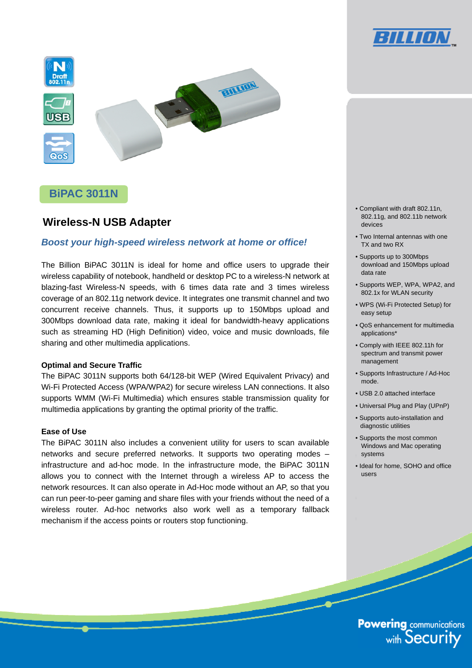



# **BiPAC 3011N**

# **Wireless-N USB Adapter**

# *Boost your high-speed wireless network at home or office!*

The Billion BiPAC 3011N is ideal for home and office users to upgrade their wireless capability of notebook, handheld or desktop PC to a wireless-N network at blazing-fast Wireless-N speeds, with 6 times data rate and 3 times wireless coverage of an 802.11g network device. It integrates one transmit channel and two concurrent receive channels. Thus, it supports up to 150Mbps upload and 300Mbps download data rate, making it ideal for bandwidth-heavy applications such as streaming HD (High Definition) video, voice and music downloads, file sharing and other multimedia applications.

# **Optimal and Secure Traffic**

The BiPAC 3011N supports both 64/128-bit WEP (Wired Equivalent Privacy) and Wi-Fi Protected Access (WPA/WPA2) for secure wireless LAN connections. It also supports WMM (Wi-Fi Multimedia) which ensures stable transmission quality for multimedia applications by granting the optimal priority of the traffic.

## **Ease of Use**

The BiPAC 3011N also includes a convenient utility for users to scan available networks and secure preferred networks. It supports two operating modes – infrastructure and ad-hoc mode. In the infrastructure mode, the BiPAC 3011N allows you to connect with the Internet through a wireless AP to access the network resources. It can also operate in Ad-Hoc mode without an AP, so that you can run peer-to-peer gaming and share files with your friends without the need of a wireless router. Ad-hoc networks also work well as a temporary fallback mechanism if the access points or routers stop functioning.

- Compliant with draft 802.11n, 802.11g, and 802.11b network devices
- Two Internal antennas with one TX and two RX
- Supports up to 300Mbps download and 150Mbps upload data rate
- Supports WEP, WPA, WPA2, and 802.1x for WLAN security
- WPS (Wi-Fi Protected Setup) for easy setup
- QoS enhancement for multimedia applications\*
- Comply with IEEE 802.11h for spectrum and transmit power management
- Supports Infrastructure / Ad-Hoc mode.
- USB 2.0 attached interface
- Universal Plug and Play (UPnP)
- Supports auto-installation and diagnostic utilities
- Supports the most common Windows and Mac operating systems
- Ideal for home, SOHO and office users

**Powering communications**<br>with Security